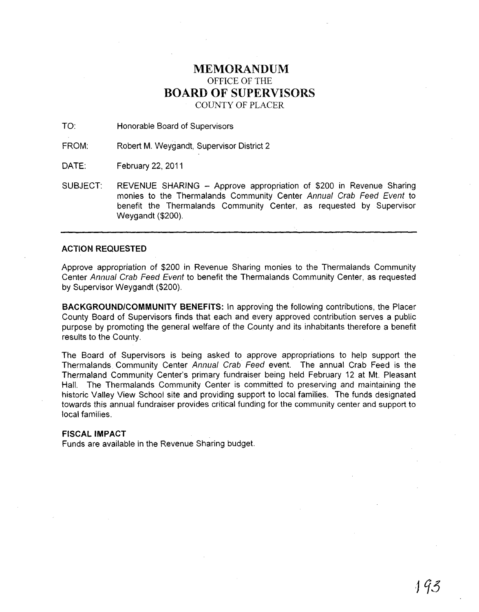## MEMORANDUM OFFICE OF THE BOARD OF SUPERVISORS COUNTY OF PLACER

TO: Honorable Board of Supervisors

FROM: Robert M. Weygandt, Supervisor District 2

DATE: February 22, 2011

SUBJECT: REVENUE SHARING - Approve appropriation of \$200 in Revenue Sharing monies to the Thermalands Community Center Annual Crab Feed Event to benefit the Thermalands Community Center, as requested by Supervisor Weygandt (\$200).

## ACTION REQUESTED

Approve appropriation of \$200 in Revenue Sharing monies to the Thermalands Community Center Annual Crab Feed Event to benefit the Thermalands Community Center, as requested by Supervisor Weygandt (\$200).

BACKGROUND/COMMUNITY BENEFITS: In approving the following contributions, the Placer County Board of Supervisors finds that each and every approved contribution serves a public purpose by promoting the general welfare of the County and its inhabitants therefore a benefit results to the County.

The Board of Supervisors is being asked to approve appropriations to help support the Thermalands Community Center Annual Crab Feed event. The annual Crab Feed is the Thermaland Community Center's primary fundraiser being held February 12 at Mt. Pleasant Hall. The Thermalands Community Center is committed to preserving and maintaining the historic Valley View School site and providing support to local families. The funds designated towards this annual fundraiser provides critical funding for the community center and support to local families.

## FISCAL IMPACT

Funds are available in the Revenue Sharing budget.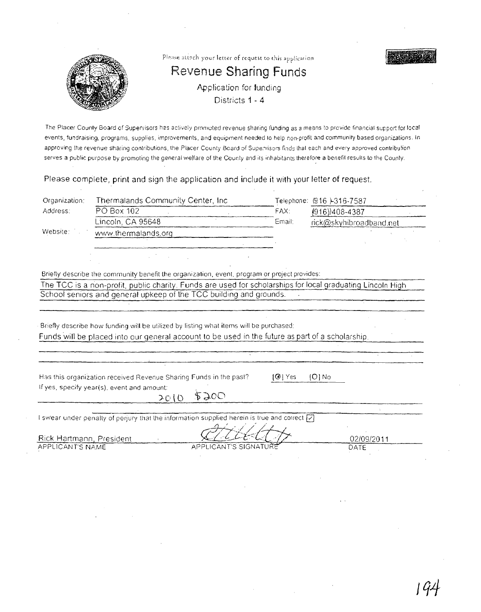

The Placer County Board of Supervisors has actively promoted revenue sharing funding as a means to provide financial support for local events, fundraising, programs, supplies, improvements, and equipment needed to help non-profit and community based organizations. In approving the revenue sharing contributions, the Placer County Board of Supervisors finds that each and every approved contribution serves a public purpose by promoting the general welfare of the County and its inhabitants therefore a benefit results to the County.

Please complete, print and sign the application and include **it** with your letter of request.

| Organization:                                                                                    | Thermalands Community Center, Inc.                                                                         |                       |              | Telephone: (916 )-316-7587 |  |
|--------------------------------------------------------------------------------------------------|------------------------------------------------------------------------------------------------------------|-----------------------|--------------|----------------------------|--|
| Address:                                                                                         | PO Box 102                                                                                                 |                       | FAX:         | $(916)$ )408-4387          |  |
|                                                                                                  | Lincoln, CA 95648                                                                                          |                       | Email:       | rick@skyhibroadband.net    |  |
| Website:                                                                                         | www.thermalands.org                                                                                        |                       |              |                            |  |
|                                                                                                  |                                                                                                            |                       |              |                            |  |
|                                                                                                  |                                                                                                            |                       |              |                            |  |
|                                                                                                  |                                                                                                            |                       |              |                            |  |
|                                                                                                  | Briefly describe the community benefit the organization, event, program or project provides:               |                       |              |                            |  |
|                                                                                                  | The TCC is a non-profit, public charity. Funds are used for scholarships for local graduating Lincoln High |                       |              |                            |  |
|                                                                                                  | School seniors and general upkeep of the TCC building and grounds.                                         |                       |              |                            |  |
|                                                                                                  |                                                                                                            |                       |              |                            |  |
|                                                                                                  |                                                                                                            |                       |              |                            |  |
|                                                                                                  | Briefly describe how funding will be utilized by listing what items will be purchased:                     |                       |              |                            |  |
| Funds will be placed into our general account to be used in the future as part of a scholarship. |                                                                                                            |                       |              |                            |  |
|                                                                                                  |                                                                                                            |                       |              |                            |  |
|                                                                                                  |                                                                                                            |                       |              |                            |  |
|                                                                                                  |                                                                                                            |                       |              |                            |  |
|                                                                                                  | Has this organization received Revenue Sharing Funds in the past?                                          |                       | $\Theta$ Yes | $(O)$ No                   |  |
|                                                                                                  | If yes, specify year(s), event and amount:                                                                 |                       |              |                            |  |
|                                                                                                  | 2010                                                                                                       | 2500                  |              |                            |  |
|                                                                                                  |                                                                                                            |                       |              |                            |  |
|                                                                                                  | I swear under penalty of perjury that the information supplied herein is true and correct [7]              |                       |              |                            |  |
|                                                                                                  |                                                                                                            |                       |              |                            |  |
| Rick Hartmann, President<br>APPLICANT'S NAME                                                     |                                                                                                            | APPLICANT'S SIGNATURI |              | 02/09/2011<br>DATE         |  |
|                                                                                                  |                                                                                                            |                       |              |                            |  |
|                                                                                                  |                                                                                                            |                       |              |                            |  |
|                                                                                                  |                                                                                                            |                       |              |                            |  |
|                                                                                                  |                                                                                                            |                       |              |                            |  |
|                                                                                                  |                                                                                                            |                       |              |                            |  |
|                                                                                                  |                                                                                                            |                       |              |                            |  |
|                                                                                                  |                                                                                                            |                       |              |                            |  |
|                                                                                                  |                                                                                                            |                       |              |                            |  |
|                                                                                                  |                                                                                                            |                       |              |                            |  |
|                                                                                                  |                                                                                                            |                       |              |                            |  |
|                                                                                                  |                                                                                                            |                       |              |                            |  |